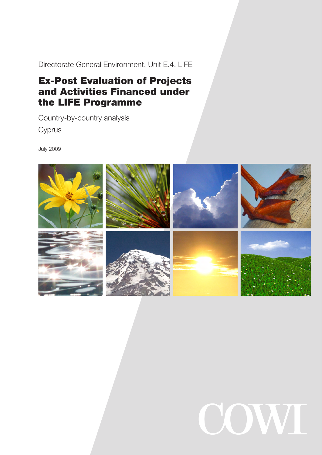Directorate General Environment, Unit E.4. LIFE

# Ex-Post Evaluation of Projects and Activities Financed under the LIFE Programme

Country-by-country analysis Cyprus

July 2009



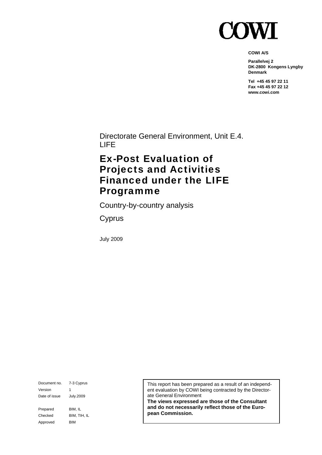

**COWI A/S** 

**Parallelvej 2 DK-2800 Kongens Lyngby Denmark** 

**Tel +45 45 97 22 11 Fax +45 45 97 22 12 www.cowi.com** 

Directorate General Environment, Unit E.4. LIFE

# Ex-Post Evaluation of Projects and Activities Financed under the LIFE Programme

Country-by-country analysis

**Cyprus** 

July 2009

Document no. 7-3 Cyprus Version 1 Date of issue July.2009 Prepared BIM, IL Checked BIM, TIH, IL Approved BIM

This report has been prepared as a result of an independent evaluation by COWI being contracted by the Directorate General Environment

**The views expressed are those of the Consultant and do not necessarily reflect those of the European Commission.**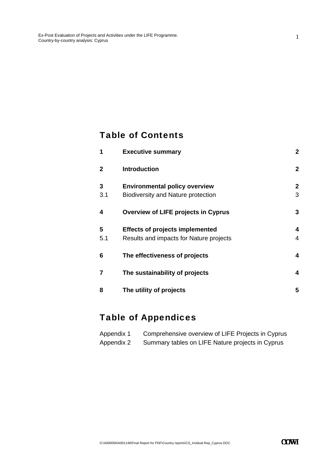#### Table of Contents

| 1              | <b>Executive summary</b>                                                          | $\overline{2}$      |
|----------------|-----------------------------------------------------------------------------------|---------------------|
| $\mathbf{2}$   | <b>Introduction</b>                                                               | $\overline{2}$      |
| 3<br>3.1       | <b>Environmental policy overview</b><br><b>Biodiversity and Nature protection</b> | $\overline{2}$<br>3 |
| 4              | <b>Overview of LIFE projects in Cyprus</b>                                        | 3                   |
| 5<br>5.1       | <b>Effects of projects implemented</b><br>Results and impacts for Nature projects | 4<br>4              |
| 6              | The effectiveness of projects                                                     | 4                   |
| $\overline{7}$ | The sustainability of projects                                                    | 4                   |
| 8              | The utility of projects                                                           | 5                   |

# Table of Appendices

| Appendix 1 | Comprehensive overview of LIFE Projects in Cyprus |
|------------|---------------------------------------------------|
| Appendix 2 | Summary tables on LIFE Nature projects in Cyprus  |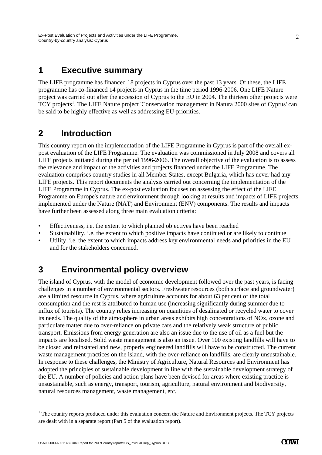#### **1 Executive summary**

The LIFE programme has financed 18 projects in Cyprus over the past 13 years. Of these, the LIFE programme has co-financed 14 projects in Cyprus in the time period 1996-2006. One LIFE Nature project was carried out after the accession of Cyprus to the EU in 2004. The thirteen other projects were TCY projects<sup>1</sup>. The LIFE Nature project 'Conservation management in Natura 2000 sites of Cyprus' can be said to be highly effective as well as addressing EU-priorities.

### **2 Introduction**

This country report on the implementation of the LIFE Programme in Cyprus is part of the overall expost evaluation of the LIFE Programme. The evaluation was commissioned in July 2008 and covers all LIFE projects initiated during the period 1996-2006. The overall objective of the evaluation is to assess the relevance and impact of the activities and projects financed under the LIFE Programme. The evaluation comprises country studies in all Member States, except Bulgaria, which has never had any LIFE projects. This report documents the analysis carried out concerning the implementation of the LIFE Programme in Cyprus. The ex-post evaluation focuses on assessing the effect of the LIFE Programme on Europe's nature and environment through looking at results and impacts of LIFE projects implemented under the Nature (NAT) and Environment (ENV) components. The results and impacts have further been assessed along three main evaluation criteria:

- Effectiveness, i.e. the extent to which planned objectives have been reached
- Sustainability, i.e. the extent to which positive impacts have continued or are likely to continue
- Utility, i.e. the extent to which impacts address key environmental needs and priorities in the EU and for the stakeholders concerned.

### **3 Environmental policy overview**

The island of Cyprus, with the model of economic development followed over the past years, is facing challenges in a number of environmental sectors. Freshwater resources (both surface and groundwater) are a limited resource in Cyprus, where agriculture accounts for about 63 per cent of the total consumption and the rest is attributed to human use (increasing significantly during summer due to influx of tourists). The country relies increasing on quantities of desalinated or recycled water to cover its needs. The quality of the atmosphere in urban areas exhibits high concentrations of NOx, ozone and particulate matter due to over-reliance on private cars and the relatively weak structure of public transport. Emissions from energy generation are also an issue due to the use of oil as a fuel but the impacts are localised. Solid waste management is also an issue. Over 100 existing landfills will have to be closed and reinstated and new, properly engineered landfills will have to be constructed. The current waste management practices on the island, with the over-reliance on landfills, are clearly unsustainable. In response to these challenges, the Ministry of Agriculture, Natural Resources and Environment has adopted the principles of sustainable development in line with the sustainable development strategy of the EU. A number of policies and action plans have been devised for areas where existing practice is unsustainable, such as energy, transport, tourism, agriculture, natural environment and biodiversity, natural resources management, waste management, etc.

-

 $<sup>1</sup>$  The country reports produced under this evaluation concern the Nature and Environment projects. The TCY projects</sup> are dealt with in a separate report (Part 5 of the evaluation report).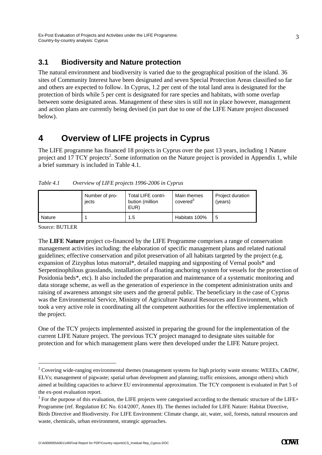#### **3.1 Biodiversity and Nature protection**

The natural environment and biodiversity is varied due to the geographical position of the island. 36 sites of Community Interest have been designated and seven Special Protection Areas classified so far and others are expected to follow. In Cyprus, 1.2 per cent of the total land area is designated for the protection of birds while 5 per cent is designated for rare species and habitats, with some overlap between some designated areas. Management of these sites is still not in place however, management and action plans are currently being devised (in part due to one of the LIFE Nature project discussed below).

## **4 Overview of LIFE projects in Cyprus**

The LIFE programme has financed 18 projects in Cyprus over the past 13 years, including 1 Nature project and 17 TCY projects<sup>2</sup>. Some information on the Nature project is provided in Appendix 1, while a brief summary is included in Table 4.1.

| Table 4.1 |  | Overview of LIFE projects 1996-2006 in Cyprus |  |
|-----------|--|-----------------------------------------------|--|
|           |  |                                               |  |

|        | Number of pro-<br>iects | <b>Total LIFE contri-</b><br>bution (million<br>EUR) | Main themes<br>covered <sup>3</sup> | Project duration<br>(years) |
|--------|-------------------------|------------------------------------------------------|-------------------------------------|-----------------------------|
| Nature |                         | 1.5                                                  | Habitats 100%                       |                             |

Source: BUTLER

-

The **LIFE Nature** project co-financed by the LIFE Programme comprises a range of conservation management activities including: the elaboration of specific management plans and related national guidelines; effective conservation and pilot preservation of all habitats targeted by the project (e.g. expansion of Zizyphus lotus matorral\*, detailed mapping and signposting of Vernal pools\* and Serpentinophilous grasslands, installation of a floating anchoring system for vessels for the protection of Posidonia beds\*, etc). It also included the preparation and maintenance of a systematic monitoring and data storage scheme, as well as the generation of experience in the competent administration units and raising of awareness amongst site users and the general public. The beneficiary in the case of Cyprus was the Environmental Service, Ministry of Agriculture Natural Resources and Environment, which took a very active role in coordinating all the competent authorities for the effective implementation of the project.

One of the TCY projects implemented assisted in preparing the ground for the implementation of the current LIFE Nature project. The previous TCY project managed to designate sites suitable for protection and for which management plans were then developed under the LIFE Nature project.

<sup>&</sup>lt;sup>2</sup> Covering wide-ranging environmental themes (management systems for high priority waste streams: WEEEs, C&DW, ELVs; management of pigwaste; spatial urban development and planning; traffic emissions, amongst others) which aimed at building capacities to achieve EU environmental approximation. The TCY component is evaluated in Part 5 of the ex-post evaluation report.

 $3$  For the purpose of this evaluation, the LIFE projects were categorised according to the thematic structure of the LIFE+ Programme (ref. Regulation EC No. 614/2007, Annex II). The themes included for LIFE Nature: Habitat Directive, Birds Directive and Biodiversity. For LIFE Environment: Climate change, air, water, soil, forests, natural resources and waste, chemicals, urban environment, strategic approaches.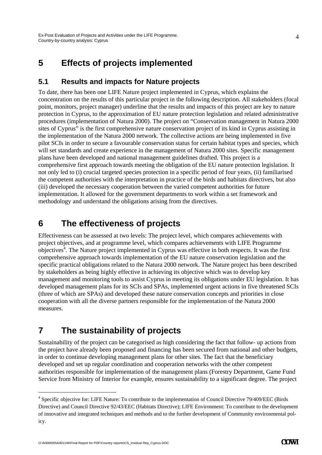# **5 Effects of projects implemented**

#### **5.1 Results and impacts for Nature projects**

To date, there has been one LIFE Nature project implemented in Cyprus, which explains the concentration on the results of this particular project in the following description. All stakeholders (focal point, monitors, project manager) underline that the results and impacts of this project are key to nature protection in Cyprus, to the approximation of EU nature protection legislation and related administrative procedures (implementation of Natura 2000). The project on "Conservation management in Natura 2000 sites of Cyprus" is the first comprehensive nature conservation project of its kind in Cyprus assisting in the implementation of the Natura 2000 network. The collective actions are being implemented in five pilot SCIs in order to secure a favourable conservation status for certain habitat types and species, which will set standards and create experience in the management of Natura 2000 sites. Specific management plans have been developed and national management guidelines drafted. This project is a comprehensive first approach towards meeting the obligation of the EU nature protection legislation. It not only led to (i) crucial targeted species protection in a specific period of four years, (ii) familiarised the competent authorities with the interpretation in practice of the birds and habitats directives, but also (iii) developed the necessary cooperation between the varied competent authorities for future implementation. It allowed for the government departments to work within a set framework and methodology and understand the obligations arising from the directives.

#### **6 The effectiveness of projects**

Effectiveness can be assessed at two levels: The project level, which compares achievements with project objectives, and at programme level, which compares achievements with LIFE Programme  $\omega$ bjectives<sup>4</sup>. The Nature project implemented in Cyprus was effective in both respects. It was the first comprehensive approach towards implementation of the EU nature conservation legislation and the specific practical obligations related to the Natura 2000 network. The Nature project has been described by stakeholders as being highly effective in achieving its objective which was to develop key management and monitoring tools to assist Cyprus in meeting its obligations under EU legislation. It has developed management plans for its SCIs and SPAs, implemented urgent actions in five threatened SCIs (three of which are SPAs) and developed these nature conservation concepts and priorities in close cooperation with all the diverse partners responsible for the implementation of the Natura 2000 measures.

# **7 The sustainability of projects**

Sustainability of the project can be categorised as high considering the fact that follow- up actions from the project have already been proposed and financing has been secured from national and other budgets, in order to continue developing management plans for other sites. The fact that the beneficiary developed and set up regular coordination and cooperation networks with the other competent authorities responsible for implementation of the management plans (Forestry Department, Game Fund Service from Ministry of Interior for example, ensures sustainability to a significant degree. The project

-

<sup>&</sup>lt;sup>4</sup> Specific objective for: LIFE Nature: To contribute to the implementation of Council Directive 79/409/EEC (Birds Directive) and Council Directive 92/43/EEC (Habitats Directive); LIFE Environment: To contribute to the development of innovative and integrated techniques and methods and to the further development of Community environmental policy.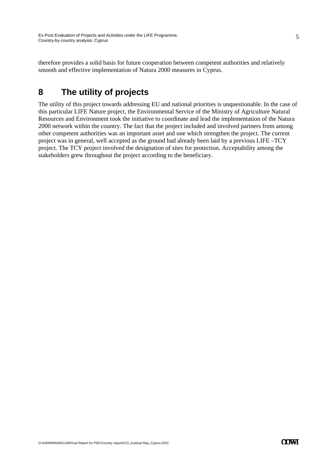therefore provides a solid basis for future cooperation between competent authorities and relatively smooth and effective implementation of Natura 2000 measures in Cyprus.

## **8 The utility of projects**

The utility of this project towards addressing EU and national priorities is unquestionable. In the case of this particular LIFE Nature project, the Environmental Service of the Ministry of Agriculture Natural Resources and Environment took the initiative to coordinate and lead the implementation of the Natura 2000 network within the country. The fact that the project included and involved partners from among other competent authorities was an important asset and one which strengthen the project. The current project was in general, well accepted as the ground had already been laid by a previous LIFE –TCY project. The TCY project involved the designation of sites for protection. Acceptability among the stakeholders grew throughout the project according to the beneficiary.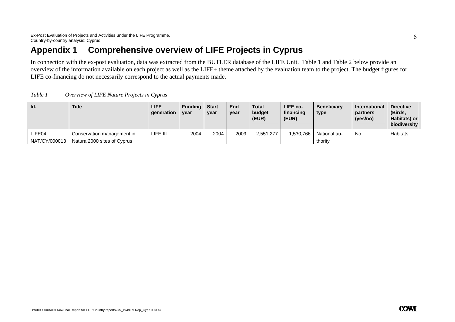## **Appendix 1 Comprehensive overview of LIFE Projects in Cyprus**

In connection with the ex-post evaluation, data was extracted from the BUTLER database of the LIFE Unit. Table 1 and Table 2 below provide an overview of the information available on each project as well as the LIFE+ theme attached by the evaluation team to the project. The budget figures for LIFE co-financing do not necessarily correspond to the actual payments made.

| Table 1 | Overview of LIFE Nature Projects in Cyprus |  |
|---------|--------------------------------------------|--|
|         |                                            |  |

| Id.           | <b>Title</b>                | <b>LIFE</b><br>qeneration | <b>Funding</b><br>vear | <b>Start</b><br>year | End<br>year | <b>Total</b><br>budget<br>(EUR) | LIFE co-<br>financing<br>(EUR) | <b>Beneficiary</b><br>type | <b>International</b><br>partners<br>(yes/no) | <b>Directive</b><br>(Birds,<br>Habitats) or<br>biodiversity |
|---------------|-----------------------------|---------------------------|------------------------|----------------------|-------------|---------------------------------|--------------------------------|----------------------------|----------------------------------------------|-------------------------------------------------------------|
| LIFE04        | Conservation management in  | LIFE III                  | 2004                   | 2004                 | 2009        | 2,551,277                       | 1,530,766                      | National au-               | <b>No</b>                                    | <b>Habitats</b>                                             |
| NAT/CY/000013 | Natura 2000 sites of Cyprus |                           |                        |                      |             |                                 |                                | thority                    |                                              |                                                             |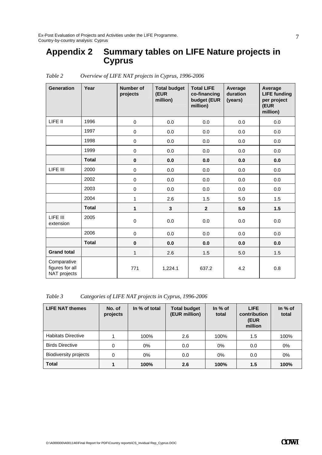Ex-Post Evaluation of Projects and Activities under the LIFE Programme. Country-by-country analysis: Cyprus

## **Appendix 2 Summary tables on LIFE Nature projects in Cyprus**

| <b>Generation</b>                              | Year         | <b>Number of</b><br>projects | <b>Total budget</b><br>(EUR<br>million) | <b>Total LIFE</b><br>co-financing<br>budget (EUR<br>million) | Average<br>duration<br>(years) | Average<br><b>LIFE funding</b><br>per project<br>(EUR<br>million) |
|------------------------------------------------|--------------|------------------------------|-----------------------------------------|--------------------------------------------------------------|--------------------------------|-------------------------------------------------------------------|
| LIFE II                                        | 1996         | 0                            | 0.0                                     | 0.0                                                          | 0.0                            | 0.0                                                               |
|                                                | 1997         | $\pmb{0}$                    | 0.0                                     | 0.0                                                          | 0.0                            | 0.0                                                               |
|                                                | 1998         | $\mathbf 0$                  | 0.0                                     | 0.0                                                          | 0.0                            | 0.0                                                               |
|                                                | 1999         | 0                            | 0.0                                     | 0.0                                                          | 0.0                            | 0.0                                                               |
|                                                | <b>Total</b> | $\pmb{0}$                    | 0.0                                     | 0.0                                                          | 0.0                            | 0.0                                                               |
| LIFE III                                       | 2000         | 0                            | 0.0                                     | 0.0                                                          | 0.0                            | 0.0                                                               |
|                                                | 2002         | $\mathbf 0$                  | 0.0                                     | 0.0                                                          | 0.0                            | 0.0                                                               |
|                                                | 2003         | $\mathbf 0$                  | 0.0                                     | 0.0                                                          | 0.0                            | 0.0                                                               |
|                                                | 2004         | 1                            | 2.6                                     | 1.5                                                          | 5.0                            | 1.5                                                               |
|                                                | <b>Total</b> | $\mathbf{1}$                 | $\mathbf{3}$                            | $\mathbf{2}$                                                 | 5.0                            | 1.5                                                               |
| LIFE III<br>extension                          | 2005         | 0                            | 0.0                                     | 0.0                                                          | 0.0                            | 0.0                                                               |
|                                                | 2006         | $\mathbf 0$                  | 0.0                                     | 0.0                                                          | 0.0                            | 0.0                                                               |
|                                                | <b>Total</b> | $\pmb{0}$                    | 0.0                                     | 0.0                                                          | 0.0                            | 0.0                                                               |
| <b>Grand total</b>                             |              | 1                            | 2.6                                     | 1.5                                                          | 5.0                            | 1.5                                                               |
| Comparative<br>figures for all<br>NAT projects |              | 771                          | 1,224.1                                 | 637.2                                                        | 4.2                            | 0.8                                                               |

*Table 2 Overview of LIFE NAT projects in Cyprus, 1996-2006* 

*Table 3 Categories of LIFE NAT projects in Cyprus, 1996-2006* 

| <b>LIFE NAT themes</b>       | No. of<br>projects | In % of total | <b>Total budget</b><br>(EUR million) | In $%$ of<br>total | <b>LIFE</b><br>contribution<br>(EUR<br>million | In $%$ of<br>total |
|------------------------------|--------------------|---------------|--------------------------------------|--------------------|------------------------------------------------|--------------------|
| <b>Habitats Directive</b>    |                    | 100%          | 2.6                                  | 100%               | 1.5                                            | 100%               |
| <b>Birds Directive</b>       | 0                  | $0\%$         | 0.0                                  | 0%                 | 0.0                                            | 0%                 |
| <b>Biodiversity projects</b> | 0                  | $0\%$         | 0.0                                  | 0%                 | 0.0                                            | $0\%$              |
| <b>Total</b>                 |                    | 100%          | 2.6                                  | 100%               | 1.5                                            | 100%               |